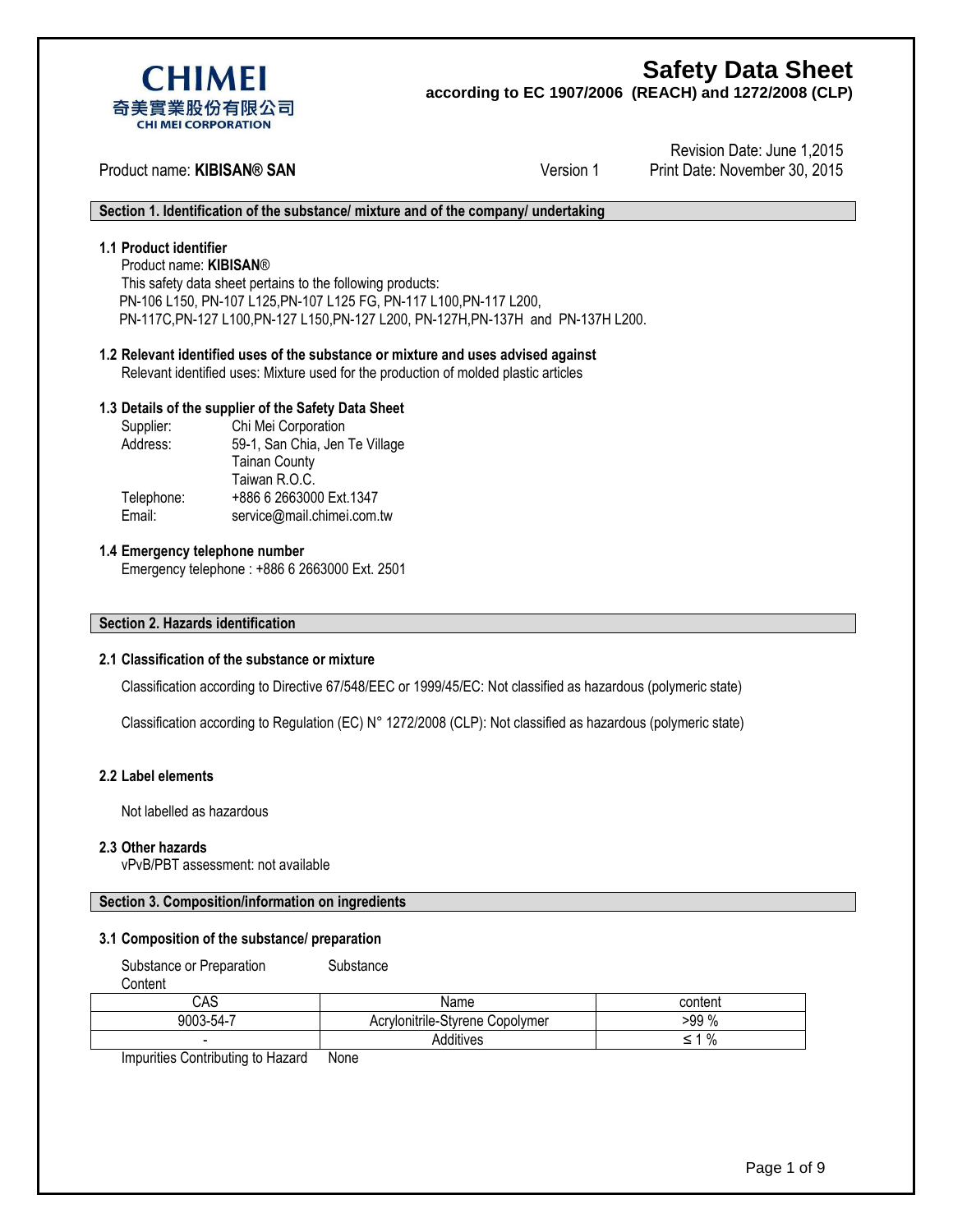

**according to EC 1907/2006 (REACH) and 1272/2008 (CLP)**



## Product name: **KIBISAN® SAN** Version 1

Revision Date: June 1,2015 Print Date: November 30, 2015

#### **Section 1. Identification of the substance/ mixture and of the company/ undertaking**

### **1.1 Product identifier**

Product name: **KIBISAN**®

This safety data sheet pertains to the following products: PN-106 L150, PN-107 L125,PN-107 L125 FG, PN-117 L100,PN-117 L200, PN-117C,PN-127 L100,PN-127 L150,PN-127 L200, PN-127H,PN-137H and PN-137H L200.

## **1.2 Relevant identified uses of the substance or mixture and uses advised against**

Relevant identified uses: Mixture used for the production of molded plastic articles

#### **1.3 Details of the supplier of the Safety Data Sheet**

| Supplier |
|----------|
| Address  |
|          |

: Chi Mei Corporation 59-1, San Chia, Jen Te Village Tainan County Taiwan R.O.C. Telephone: +886 6 2663000 Ext.1347 Email: [service@mail.chimei.com.tw](mailto:service@mail.chimei.com.tw)

#### **1.4 Emergency telephone number**

Emergency telephone : +886 6 2663000 Ext. 2501

#### **Section 2. Hazards identification**

#### **2.1 Classification of the substance or mixture**

Classification according to Directive 67/548/EEC or 1999/45/EC: Not classified as hazardous (polymeric state)

Classification according to Regulation (EC) N° 1272/2008 (CLP): Not classified as hazardous (polymeric state)

#### **2.2 Label elements**

Not labelled as hazardous

#### **2.3 Other hazards**

vPvB/PBT assessment: not available

#### **Section 3. Composition/information on ingredients**

#### **3.1 Composition of the substance/ preparation**

Substance or Preparation Substance

**Content** 

| CAS       | Name                                        | content |
|-----------|---------------------------------------------|---------|
| 9003-54-7 | <br>Acrylonitrile-S<br>Stvrene<br>Copolymer | $-99%$  |
| -         | Additives                                   | %<br>-  |

Impurities Contributing to Hazard None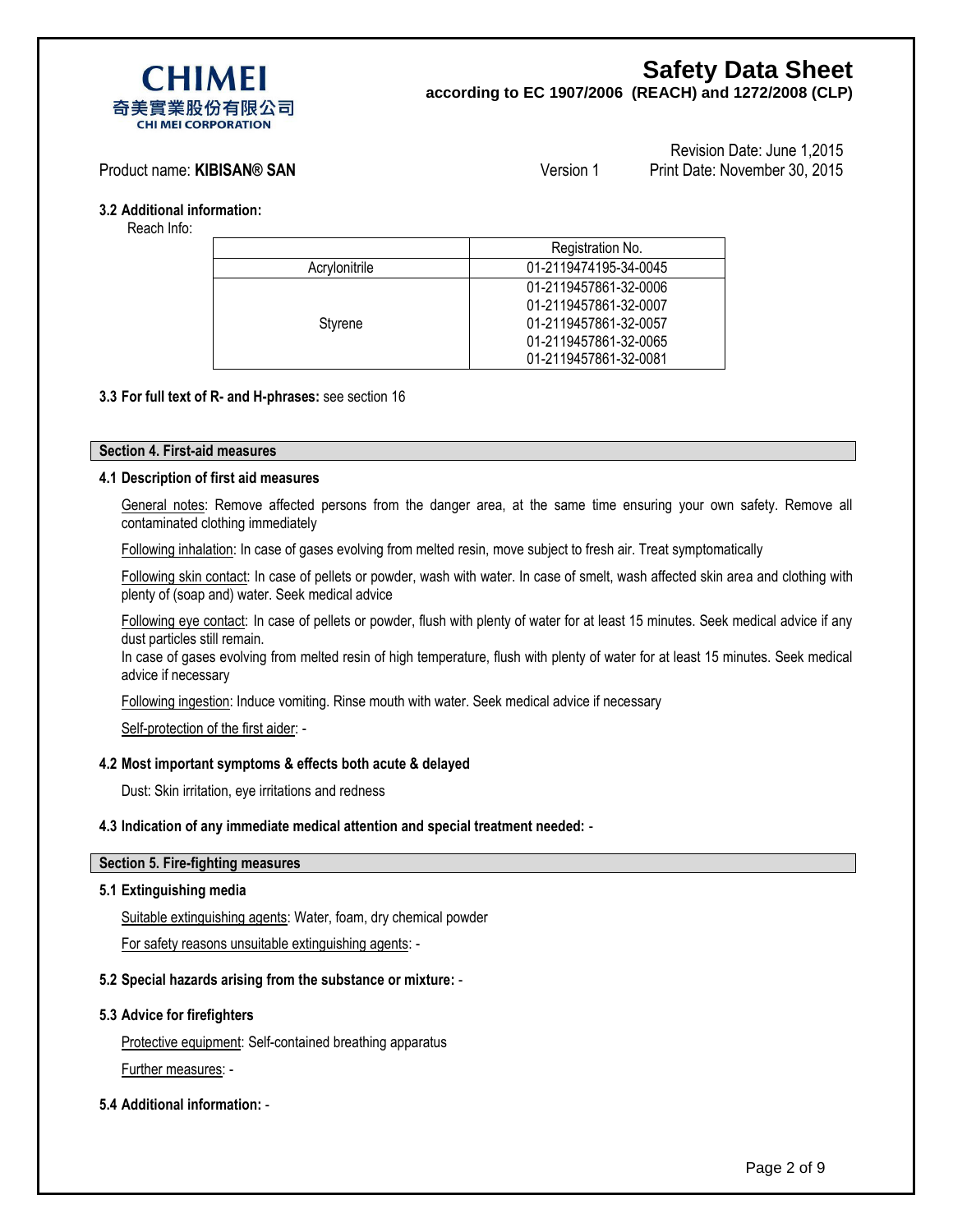

**according to EC 1907/2006 (REACH) and 1272/2008 (CLP)**

#### Product name: **KIBISAN® SAN** Version 1

```
Revision Date: June 1,2015
Print Date: November 30, 2015
```
**3.2 Additional information:** 

Reach Info:

|               | Registration No.      |
|---------------|-----------------------|
| Acrylonitrile | 01-2119474195-34-0045 |
|               | 01-2119457861-32-0006 |
|               | 01-2119457861-32-0007 |
| Styrene       | 01-2119457861-32-0057 |
|               | 01-2119457861-32-0065 |
|               | 01-2119457861-32-0081 |

#### **3.3 For full text of R- and H-phrases:** see section 16

#### **Section 4. First-aid measures**

#### **4.1 Description of first aid measures**

General notes: Remove affected persons from the danger area, at the same time ensuring your own safety. Remove all contaminated clothing immediately

Following inhalation: In case of gases evolving from melted resin, move subject to fresh air. Treat symptomatically

Following skin contact: In case of pellets or powder, wash with water. In case of smelt, wash affected skin area and clothing with plenty of (soap and) water. Seek medical advice

Following eye contact: In case of pellets or powder, flush with plenty of water for at least 15 minutes. Seek medical advice if any dust particles still remain.

In case of gases evolving from melted resin of high temperature, flush with plenty of water for at least 15 minutes. Seek medical advice if necessary

Following ingestion: Induce vomiting. Rinse mouth with water. Seek medical advice if necessary

Self-protection of the first aider: -

#### **4.2 Most important symptoms & effects both acute & delayed**

Dust: Skin irritation, eye irritations and redness

#### **4.3 Indication of any immediate medical attention and special treatment needed:** -

#### **Section 5. Fire-fighting measures**

#### **5.1 Extinguishing media**

Suitable extinguishing agents: Water, foam, dry chemical powder

For safety reasons unsuitable extinguishing agents: -

#### **5.2 Special hazards arising from the substance or mixture:** -

#### **5.3 Advice for firefighters**

Protective equipment: Self-contained breathing apparatus Further measures: -

#### **5.4 Additional information:** -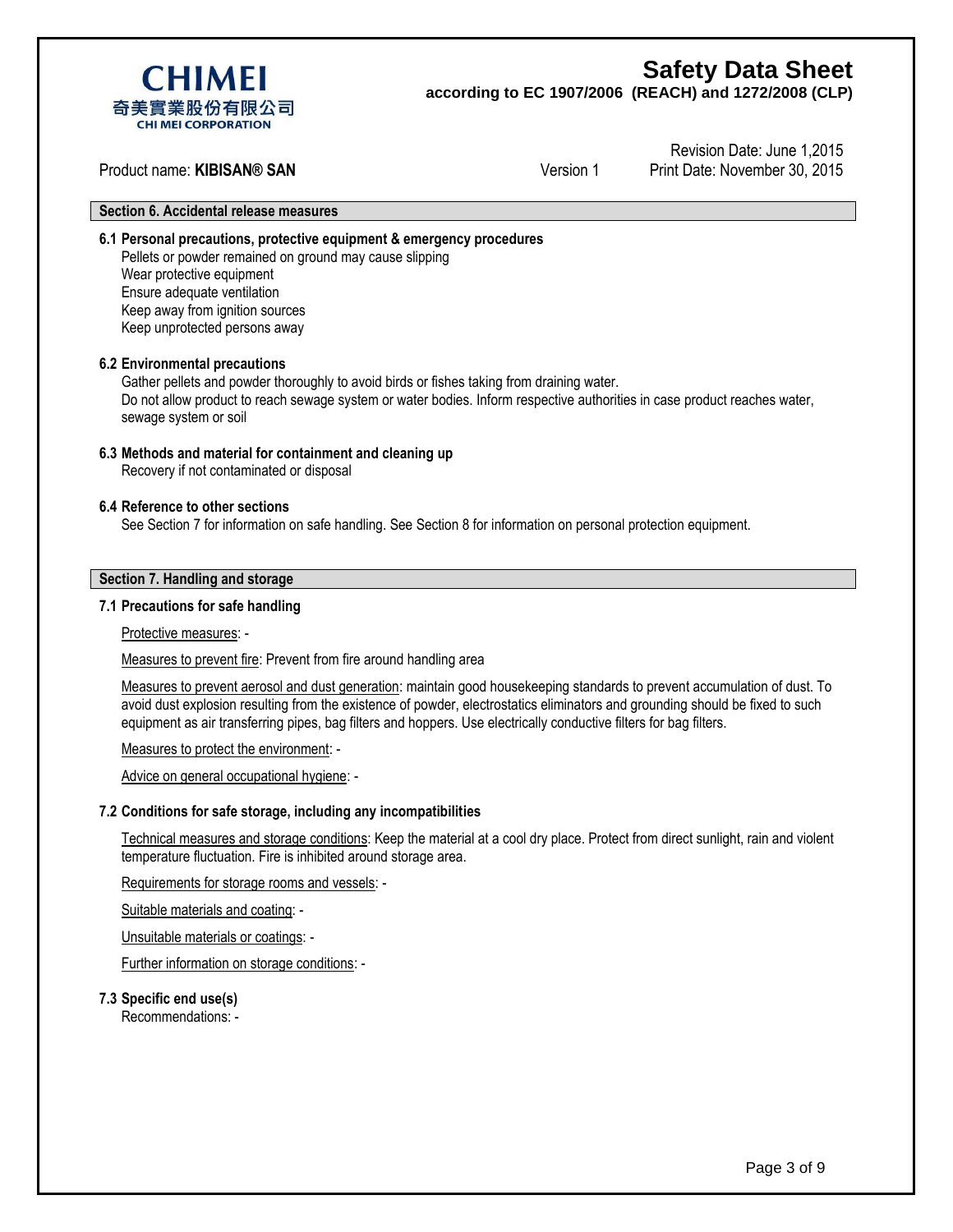

**according to EC 1907/2006 (REACH) and 1272/2008 (CLP)**

Product name: **KIBISAN® SAN** Version 1

Revision Date: June 1,2015 Print Date: November 30, 2015

#### **Section 6. Accidental release measures**

**6.1 Personal precautions, protective equipment & emergency procedures**

Pellets or powder remained on ground may cause slipping Wear protective equipment Ensure adequate ventilation Keep away from ignition sources Keep unprotected persons away

#### **6.2 Environmental precautions**

Gather pellets and powder thoroughly to avoid birds or fishes taking from draining water. Do not allow product to reach sewage system or water bodies. Inform respective authorities in case product reaches water, sewage system or soil

#### **6.3 Methods and material for containment and cleaning up**

Recovery if not contaminated or disposal

#### **6.4 Reference to other sections**

See Section 7 for information on safe handling. See Section 8 for information on personal protection equipment.

#### **Section 7. Handling and storage**

#### **7.1 Precautions for safe handling**

#### Protective measures: -

Measures to prevent fire: Prevent from fire around handling area

Measures to prevent aerosol and dust generation: maintain good housekeeping standards to prevent accumulation of dust. To avoid dust explosion resulting from the existence of powder, electrostatics eliminators and grounding should be fixed to such equipment as air transferring pipes, bag filters and hoppers. Use electrically conductive filters for bag filters.

Measures to protect the environment: -

Advice on general occupational hygiene: -

#### **7.2 Conditions for safe storage, including any incompatibilities**

Technical measures and storage conditions: Keep the material at a cool dry place. Protect from direct sunlight, rain and violent temperature fluctuation. Fire is inhibited around storage area.

Requirements for storage rooms and vessels: -

Suitable materials and coating: -

Unsuitable materials or coatings: -

Further information on storage conditions: -

#### **7.3 Specific end use(s)**

Recommendations: -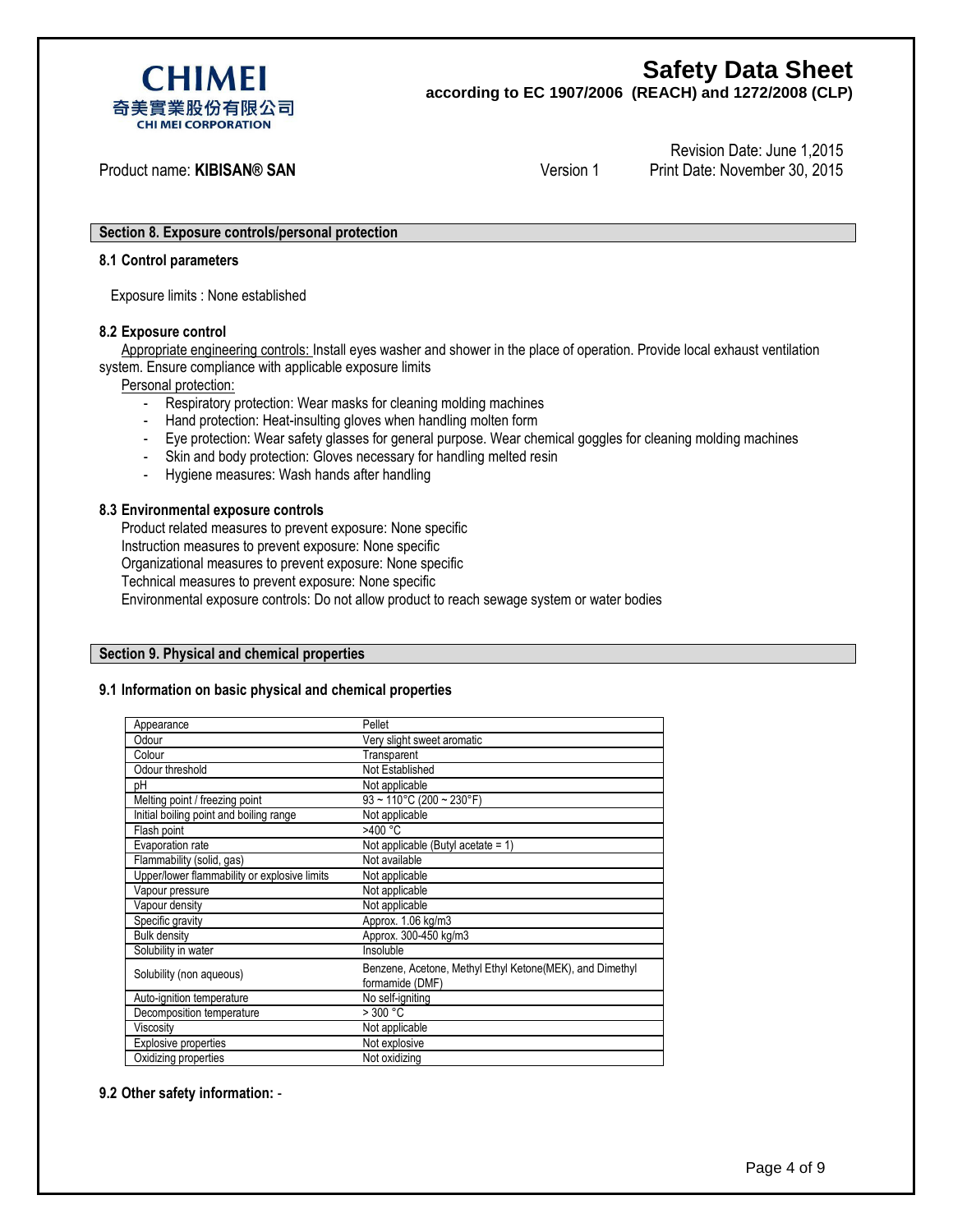

**according to EC 1907/2006 (REACH) and 1272/2008 (CLP)**

Product name: **KIBISAN® SAN** Version 1

Revision Date: June 1,2015 Print Date: November 30, 2015

#### **Section 8. Exposure controls/personal protection**

#### **8.1 Control parameters**

Exposure limits : None established

#### **8.2 Exposure control**

Appropriate engineering controls: Install eyes washer and shower in the place of operation. Provide local exhaust ventilation system. Ensure compliance with applicable exposure limits

Personal protection:

- Respiratory protection: Wear masks for cleaning molding machines
- Hand protection: Heat-insulting gloves when handling molten form
- Eye protection: Wear safety glasses for general purpose. Wear chemical goggles for cleaning molding machines
- Skin and body protection: Gloves necessary for handling melted resin
- Hygiene measures: Wash hands after handling

#### **8.3 Environmental exposure controls**

Product related measures to prevent exposure: None specific Instruction measures to prevent exposure: None specific Organizational measures to prevent exposure: None specific Technical measures to prevent exposure: None specific Environmental exposure controls: Do not allow product to reach sewage system or water bodies

#### **Section 9. Physical and chemical properties**

#### **9.1 Information on basic physical and chemical properties**

| Appearance                                   | Pellet                                                                      |
|----------------------------------------------|-----------------------------------------------------------------------------|
| Odour                                        | Very slight sweet aromatic                                                  |
| Colour                                       | Transparent                                                                 |
| Odour threshold                              | Not Established                                                             |
| pН                                           | Not applicable                                                              |
| Melting point / freezing point               | $93 \sim 110^{\circ}$ C (200 ~ 230°F)                                       |
| Initial boiling point and boiling range      | Not applicable                                                              |
| Flash point                                  | $>400 \frac{1}{C}$                                                          |
| Evaporation rate                             | Not applicable (Butyl acetate = 1)                                          |
| Flammability (solid, gas)                    | Not available                                                               |
| Upper/lower flammability or explosive limits | Not applicable                                                              |
| Vapour pressure                              | Not applicable                                                              |
| Vapour density                               | Not applicable                                                              |
| Specific gravity                             | Approx. 1.06 kg/m3                                                          |
| <b>Bulk density</b>                          | Approx. 300-450 kg/m3                                                       |
| Solubility in water                          | Insoluble                                                                   |
| Solubility (non aqueous)                     | Benzene, Acetone, Methyl Ethyl Ketone(MEK), and Dimethyl<br>formamide (DMF) |
| Auto-ignition temperature                    | No self-igniting                                                            |
| Decomposition temperature                    | >300 °C                                                                     |
| Viscositv                                    | Not applicable                                                              |
| <b>Explosive properties</b>                  | Not explosive                                                               |
| Oxidizing properties                         | Not oxidizing                                                               |
|                                              |                                                                             |

#### **9.2 Other safety information:** -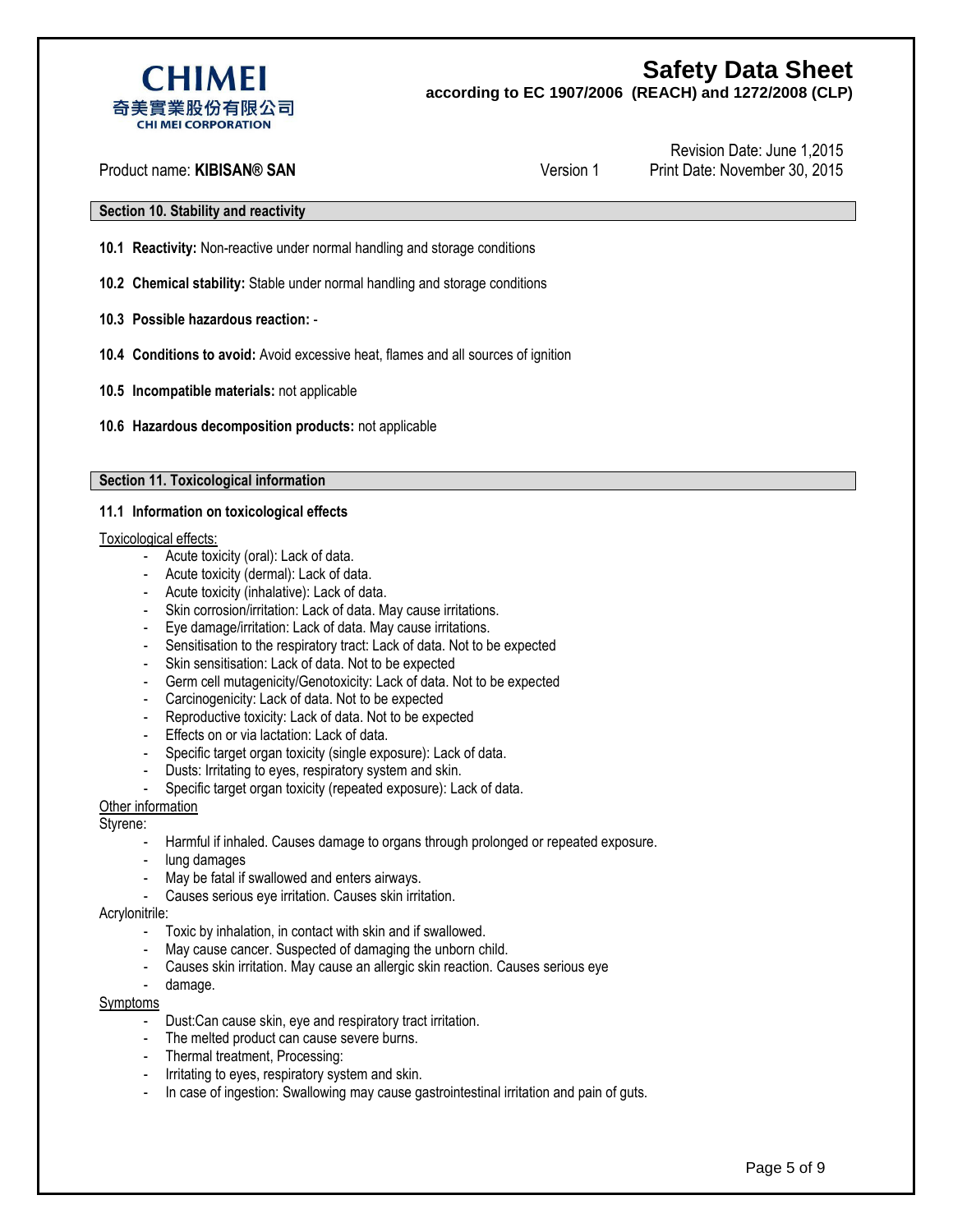**according to EC 1907/2006 (REACH) and 1272/2008 (CLP)**



Product name: **KIBISAN® SAN** Version 1

Revision Date: June 1,2015 Print Date: November 30, 2015

### **Section 10. Stability and reactivity**

- **10.1 Reactivity:** Non-reactive under normal handling and storage conditions
- **10.2 Chemical stability:** Stable under normal handling and storage conditions
- **10.3 Possible hazardous reaction:** -
- **10.4 Conditions to avoid:** Avoid excessive heat, flames and all sources of ignition
- **10.5 Incompatible materials:** not applicable
- **10.6 Hazardous decomposition products:** not applicable

#### **Section 11. Toxicological information**

#### **11.1 Information on toxicological effects**

#### Toxicological effects:

- Acute toxicity (oral): Lack of data.
- Acute toxicity (dermal): Lack of data.
- Acute toxicity (inhalative): Lack of data.
- Skin corrosion/irritation: Lack of data. May cause irritations.
- Eye damage/irritation: Lack of data. May cause irritations.
- Sensitisation to the respiratory tract: Lack of data. Not to be expected
- Skin sensitisation: Lack of data. Not to be expected
- Germ cell mutagenicity/Genotoxicity: Lack of data. Not to be expected
- Carcinogenicity: Lack of data. Not to be expected
- Reproductive toxicity: Lack of data. Not to be expected
- Effects on or via lactation: Lack of data.
- Specific target organ toxicity (single exposure): Lack of data.
- Dusts: Irritating to eyes, respiratory system and skin.
- Specific target organ toxicity (repeated exposure): Lack of data.

#### Other information

#### Styrene:

- Harmful if inhaled. Causes damage to organs through prolonged or repeated exposure.
- lung damages
- May be fatal if swallowed and enters airways.
- Causes serious eye irritation. Causes skin irritation.

#### Acrylonitrile:

- Toxic by inhalation, in contact with skin and if swallowed.
- May cause cancer. Suspected of damaging the unborn child.
- Causes skin irritation. May cause an allergic skin reaction. Causes serious eye
- damage.

#### Symptoms

- Dust:Can cause skin, eye and respiratory tract irritation.
- The melted product can cause severe burns.
- Thermal treatment, Processing:
- Irritating to eyes, respiratory system and skin.
- In case of ingestion: Swallowing may cause gastrointestinal irritation and pain of guts.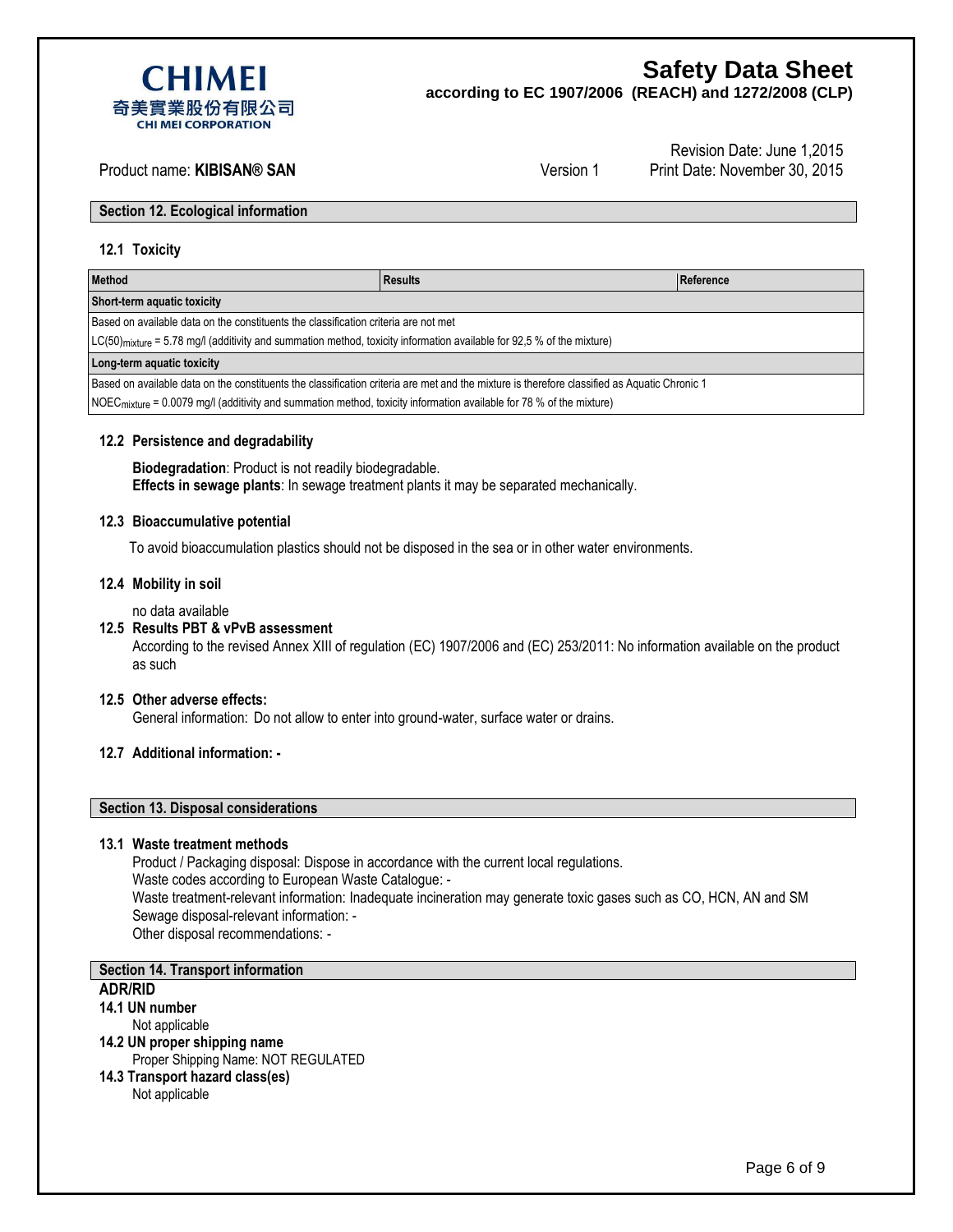

**according to EC 1907/2006 (REACH) and 1272/2008 (CLP)**

## Product name: **KIBISAN® SAN** Version 1

Revision Date: June 1,2015 Print Date: November 30, 2015

**Section 12. Ecological information**

#### **12.1 Toxicity**

| <b>Method</b>                                                                                                                                | <b>Results</b> | Reference |  |  |
|----------------------------------------------------------------------------------------------------------------------------------------------|----------------|-----------|--|--|
| Short-term aquatic toxicity                                                                                                                  |                |           |  |  |
| Based on available data on the constituents the classification criteria are not met                                                          |                |           |  |  |
| LC(50) <sub>mixture</sub> = 5.78 mg/l (additivity and summation method, toxicity information available for 92,5 % of the mixture)            |                |           |  |  |
| Long-term aquatic toxicity                                                                                                                   |                |           |  |  |
| Based on available data on the constituents the classification criteria are met and the mixture is therefore classified as Aquatic Chronic 1 |                |           |  |  |
| $\vert$ NOEC <sub>mixture</sub> = 0.0079 mg/l (additivity and summation method, toxicity information available for 78 % of the mixture)      |                |           |  |  |

#### **12.2 Persistence and degradability**

**Biodegradation**: Product is not readily biodegradable. **Effects in sewage plants**: In sewage treatment plants it may be separated mechanically.

#### **12.3 Bioaccumulative potential**

To avoid bioaccumulation plastics should not be disposed in the sea or in other water environments.

#### **12.4 Mobility in soil**

no data available

#### **12.5 Results PBT & vPvB assessment**

According to the revised Annex XIII of regulation (EC) 1907/2006 and (EC) 253/2011: No information available on the product as such

#### **12.5 Other adverse effects:**

General information: Do not allow to enter into ground-water, surface water or drains.

### **12.7 Additional information: -**

#### **Section 13. Disposal considerations**

#### **13.1 Waste treatment methods**

Product / Packaging disposal: Dispose in accordance with the current local regulations. Waste codes according to European Waste Catalogue: - Waste treatment-relevant information: Inadequate incineration may generate toxic gases such as CO, HCN, AN and SM Sewage disposal-relevant information: - Other disposal recommendations: -

## **Section 14. Transport information**

#### **ADR/RID**

- **14.1 UN number**
	- Not applicable
- **14.2 UN proper shipping name** Proper Shipping Name: NOT REGULATED
- **14.3 Transport hazard class(es)** Not applicable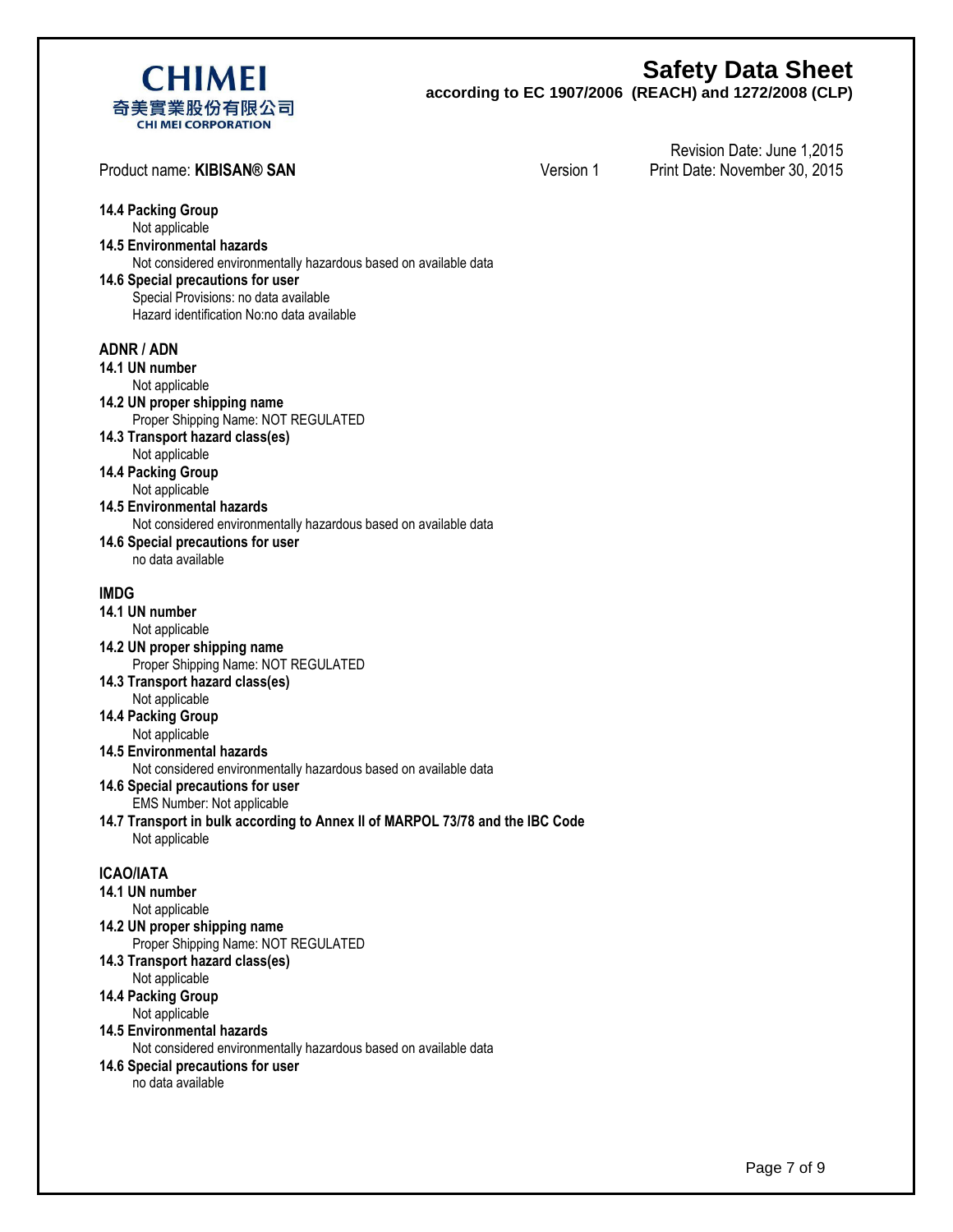

**according to EC 1907/2006 (REACH) and 1272/2008 (CLP)**

| Product name: KIBISAN® SAN                                                                                                                                                                                                                                                                                                                                                                                                                                                                                | Version 1 | Revision Date: June 1,2015<br>Print Date: November 30, 2015 |
|-----------------------------------------------------------------------------------------------------------------------------------------------------------------------------------------------------------------------------------------------------------------------------------------------------------------------------------------------------------------------------------------------------------------------------------------------------------------------------------------------------------|-----------|-------------------------------------------------------------|
| <b>14.4 Packing Group</b><br>Not applicable<br><b>14.5 Environmental hazards</b><br>Not considered environmentally hazardous based on available data<br>14.6 Special precautions for user<br>Special Provisions: no data available<br>Hazard identification No:no data available                                                                                                                                                                                                                          |           |                                                             |
| <b>ADNR / ADN</b><br>14.1 UN number<br>Not applicable<br>14.2 UN proper shipping name<br>Proper Shipping Name: NOT REGULATED<br>14.3 Transport hazard class(es)<br>Not applicable<br><b>14.4 Packing Group</b><br>Not applicable<br><b>14.5 Environmental hazards</b><br>Not considered environmentally hazardous based on available data<br>14.6 Special precautions for user<br>no data available                                                                                                       |           |                                                             |
| <b>IMDG</b><br>14.1 UN number<br>Not applicable<br>14.2 UN proper shipping name<br>Proper Shipping Name: NOT REGULATED<br>14.3 Transport hazard class(es)<br>Not applicable<br><b>14.4 Packing Group</b><br>Not applicable<br><b>14.5 Environmental hazards</b><br>Not considered environmentally hazardous based on available data<br>14.6 Special precautions for user<br>EMS Number: Not applicable<br>14.7 Transport in bulk according to Annex II of MARPOL 73/78 and the IBC Code<br>Not applicable |           |                                                             |
| <b>ICAO/IATA</b><br>14.1 UN number<br>Not applicable<br>14.2 UN proper shipping name<br>Proper Shipping Name: NOT REGULATED<br>14.3 Transport hazard class(es)<br>Not applicable<br>14.4 Packing Group<br>Not applicable<br><b>14.5 Environmental hazards</b><br>Not considered environmentally hazardous based on available data<br>14.6 Special precautions for user<br>no data available                                                                                                               |           |                                                             |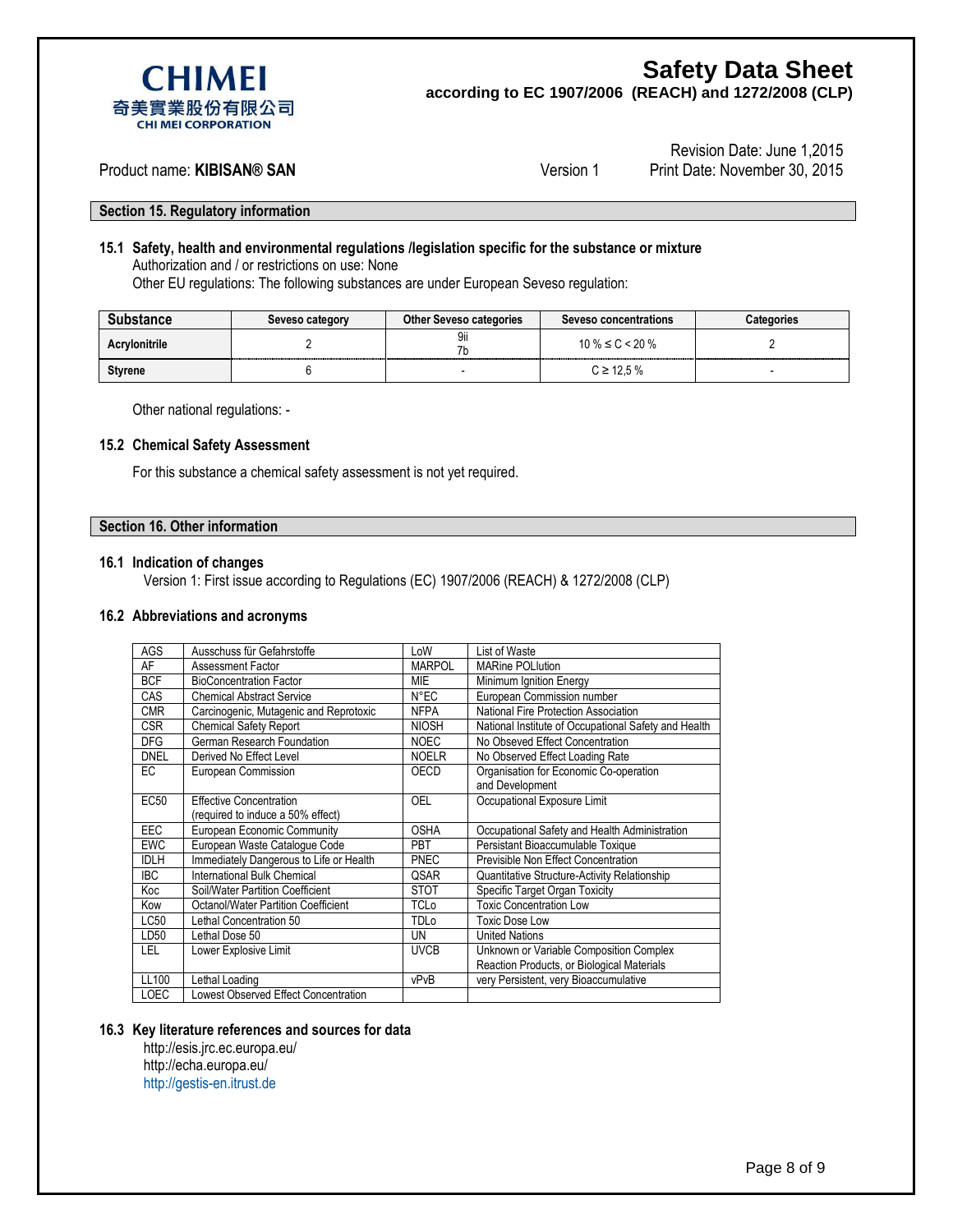

**according to EC 1907/2006 (REACH) and 1272/2008 (CLP)**



#### Product name: **KIBISAN® SAN** Version 1

Revision Date: June 1,2015 Print Date: November 30, 2015

**Section 15. Regulatory information**

### **15.1 Safety, health and environmental regulations /legislation specific for the substance or mixture** Authorization and / or restrictions on use: None

Other EU regulations: The following substances are under European Seveso regulation:

| bstance       | Seveso category | <b>Other Seveso categories</b> | <b>Seveso concentrations</b> | <b>Categories</b>                               |
|---------------|-----------------|--------------------------------|------------------------------|-------------------------------------------------|
| Acrylonitrile |                 | 9ii                            | $10\% \le C \le 20\%$        | ----------<br>--------------------------------- |
| Styrene       |                 |                                | $C \ge 12.5 \%$              |                                                 |

Other national regulations: -

#### **15.2 Chemical Safety Assessment**

For this substance a chemical safety assessment is not yet required.

#### **Section 16. Other information**

#### **16.1 Indication of changes**

Version 1: First issue according to Regulations (EC) 1907/2006 (REACH) & 1272/2008 (CLP)

#### **16.2 Abbreviations and acronyms**

| AGS         | Ausschuss für Gefahrstoffe                 | LoW            | List of Waste                                        |
|-------------|--------------------------------------------|----------------|------------------------------------------------------|
| AF          | <b>Assessment Factor</b>                   | <b>MARPOL</b>  | <b>MARine POLlution</b>                              |
| <b>BCF</b>  | <b>BioConcentration Factor</b>             | MIE            | Minimum Ignition Energy                              |
| CAS         | <b>Chemical Abstract Service</b>           | $N^{\circ}$ EC | European Commission number                           |
| <b>CMR</b>  | Carcinogenic, Mutagenic and Reprotoxic     | <b>NFPA</b>    | National Fire Protection Association                 |
| <b>CSR</b>  | <b>Chemical Safety Report</b>              | <b>NIOSH</b>   | National Institute of Occupational Safety and Health |
| <b>DFG</b>  | German Research Foundation                 | <b>NOEC</b>    | No Obseved Effect Concentration                      |
| <b>DNEL</b> | Derived No Effect Level                    | <b>NOELR</b>   | No Observed Effect Loading Rate                      |
| EC          | European Commission                        | OECD           | Organisation for Economic Co-operation               |
|             |                                            |                | and Development                                      |
| <b>EC50</b> | <b>Effective Concentration</b>             | OEL            | Occupational Exposure Limit                          |
|             | (required to induce a 50% effect)          |                |                                                      |
| <b>EEC</b>  | <b>European Economic Community</b>         | <b>OSHA</b>    | Occupational Safety and Health Administration        |
| <b>EWC</b>  | European Waste Cataloque Code              | <b>PBT</b>     | Persistant Bioaccumulable Toxique                    |
| <b>IDLH</b> | Immediately Dangerous to Life or Health    | <b>PNEC</b>    | Previsible Non Effect Concentration                  |
| <b>IBC</b>  | International Bulk Chemical                | QSAR           | Quantitative Structure-Activity Relationship         |
| Koc         | Soil/Water Partition Coefficient           | <b>STOT</b>    | Specific Target Organ Toxicity                       |
| Kow         | <b>Octanol/Water Partition Coefficient</b> | <b>TCLo</b>    | <b>Toxic Concentration Low</b>                       |
| LC50        | Lethal Concentration 50                    | TDLo           | <b>Toxic Dose Low</b>                                |
| LD50        | Lethal Dose 50                             | UN             | <b>United Nations</b>                                |
| LEL         | Lower Explosive Limit                      | <b>UVCB</b>    | Unknown or Variable Composition Complex              |
|             |                                            |                | Reaction Products, or Biological Materials           |
| LL100       | Lethal Loading                             | vPvB           | very Persistent, very Bioaccumulative                |
|             |                                            |                |                                                      |

#### **16.3 Key literature references and sources for data**

http://esis.jrc.ec.europa.eu/ <http://echa.europa.eu/> [http://gestis-en.itrust.de](http://gestis-en.itrust.de/)